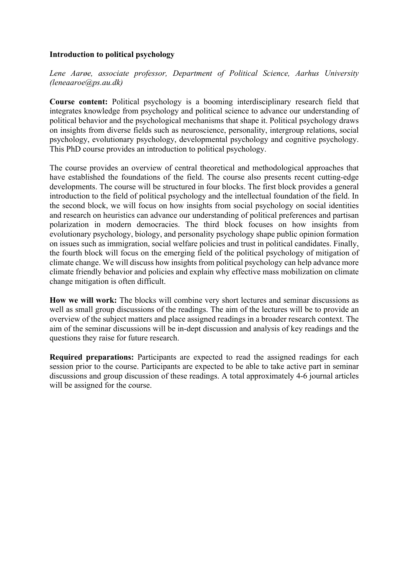#### **Introduction to political psychology**

*Lene Aarøe, associate professor, Department of Political Science, Aarhus University (leneaaroe@ps.au.dk)*

**Course content:** Political psychology is a booming interdisciplinary research field that integrates knowledge from psychology and political science to advance our understanding of political behavior and the psychological mechanisms that shape it. Political psychology draws on insights from diverse fields such as neuroscience, personality, intergroup relations, social psychology, evolutionary psychology, developmental psychology and cognitive psychology. This PhD course provides an introduction to political psychology.

The course provides an overview of central theoretical and methodological approaches that have established the foundations of the field. The course also presents recent cutting-edge developments. The course will be structured in four blocks. The first block provides a general introduction to the field of political psychology and the intellectual foundation of the field. In the second block, we will focus on how insights from social psychology on social identities and research on heuristics can advance our understanding of political preferences and partisan polarization in modern democracies. The third block focuses on how insights from evolutionary psychology, biology, and personality psychology shape public opinion formation on issues such as immigration, social welfare policies and trust in political candidates. Finally, the fourth block will focus on the emerging field of the political psychology of mitigation of climate change. We will discuss how insights from political psychology can help advance more climate friendly behavior and policies and explain why effective mass mobilization on climate change mitigation is often difficult.

**How we will work:** The blocks will combine very short lectures and seminar discussions as well as small group discussions of the readings. The aim of the lectures will be to provide an overview of the subject matters and place assigned readings in a broader research context. The aim of the seminar discussions will be in-dept discussion and analysis of key readings and the questions they raise for future research.

**Required preparations:** Participants are expected to read the assigned readings for each session prior to the course. Participants are expected to be able to take active part in seminar discussions and group discussion of these readings. A total approximately 4-6 journal articles will be assigned for the course.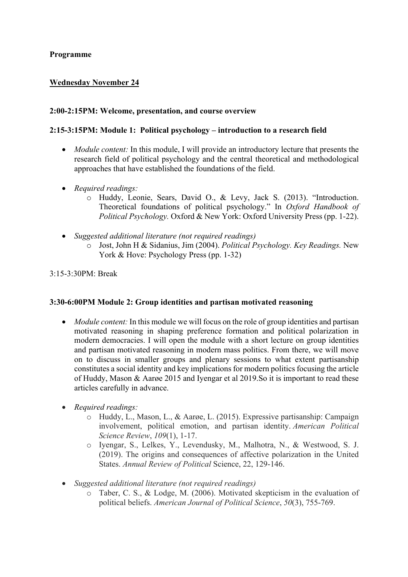## **Programme**

# **Wednesday November 24**

### **2:00-2:15PM: Welcome, presentation, and course overview**

#### **2:15-3:15PM: Module 1: Political psychology – introduction to a research field**

- *Module content:* In this module, I will provide an introductory lecture that presents the research field of political psychology and the central theoretical and methodological approaches that have established the foundations of the field.
- *Required readings:* 
	- o Huddy, Leonie, Sears, David O., & Levy, Jack S. (2013). "Introduction. Theoretical foundations of political psychology." In *Oxford Handbook of Political Psychology.* Oxford & New York: Oxford University Press (pp. 1-22).
- *Suggested additional literature (not required readings)* 
	- o Jost, John H & Sidanius, Jim (2004). *Political Psychology. Key Readings.* New York & Hove: Psychology Press (pp. 1-32)

3:15-3:30PM: Break

#### **3:30-6:00PM Module 2: Group identities and partisan motivated reasoning**

- *Module content:* In this module we will focus on the role of group identities and partisan motivated reasoning in shaping preference formation and political polarization in modern democracies. I will open the module with a short lecture on group identities and partisan motivated reasoning in modern mass politics. From there, we will move on to discuss in smaller groups and plenary sessions to what extent partisanship constitutes a social identity and key implications for modern politics focusing the article of Huddy, Mason & Aarøe 2015 and Iyengar et al 2019.So it is important to read these articles carefully in advance.
- *Required readings:*
	- o Huddy, L., Mason, L., & Aarøe, L. (2015). Expressive partisanship: Campaign involvement, political emotion, and partisan identity. *American Political Science Review*, *109*(1), 1-17.
	- o Iyengar, S., Lelkes, Y., Levendusky, M., Malhotra, N., & Westwood, S. J. (2019). The origins and consequences of affective polarization in the United States. *Annual Review of Political* Science, 22, 129-146.
- *Suggested additional literature (not required readings)*
	- o Taber, C. S., & Lodge, M. (2006). Motivated skepticism in the evaluation of political beliefs. *American Journal of Political Science*, *50*(3), 755-769.